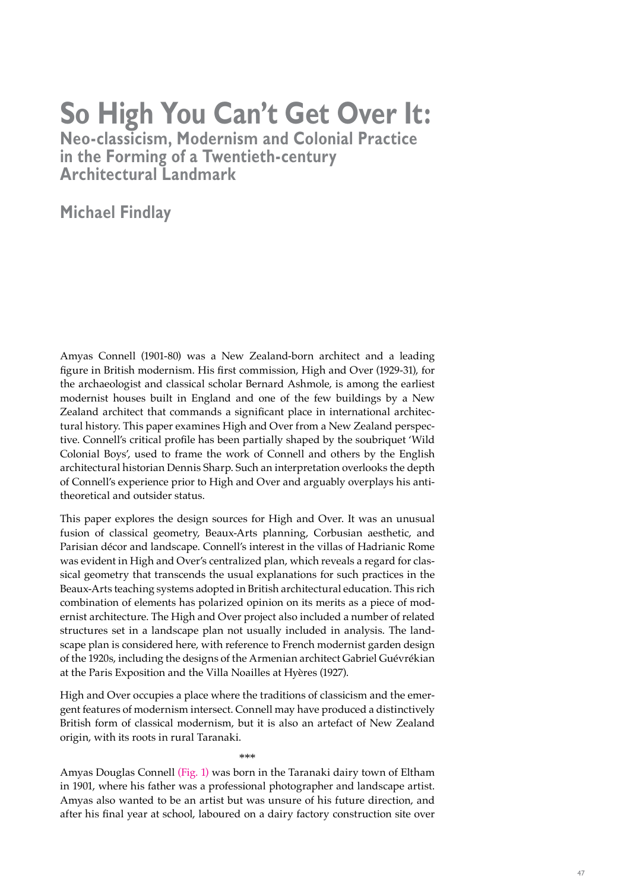## **So High You Can't Get Over It:**

**Neo-classicism, Modernism and Colonial Practice in the Forming of a Twentieth-century Architectural Landmark**

**Michael Findlay**

Amyas Connell (1901-80) was a New Zealand-born architect and a leading figure in British modernism. His first commission, High and Over (1929-31), for the archaeologist and classical scholar Bernard Ashmole, is among the earliest modernist houses built in England and one of the few buildings by a New Zealand architect that commands a significant place in international architectural history. This paper examines High and Over from a New Zealand perspective. Connell's critical profile has been partially shaped by the soubriquet 'Wild Colonial Boys', used to frame the work of Connell and others by the English architectural historian Dennis Sharp. Such an interpretation overlooks the depth of Connell's experience prior to High and Over and arguably overplays his antitheoretical and outsider status.

This paper explores the design sources for High and Over. It was an unusual fusion of classical geometry, Beaux-Arts planning, Corbusian aesthetic, and Parisian décor and landscape. Connell's interest in the villas of Hadrianic Rome was evident in High and Over's centralized plan, which reveals a regard for classical geometry that transcends the usual explanations for such practices in the Beaux-Arts teaching systems adopted in British architectural education. This rich combination of elements has polarized opinion on its merits as a piece of modernist architecture. The High and Over project also included a number of related structures set in a landscape plan not usually included in analysis. The landscape plan is considered here, with reference to French modernist garden design of the 1920s, including the designs of the Armenian architect Gabriel Guévrékian at the Paris Exposition and the Villa Noailles at Hyères (1927).

High and Over occupies a place where the traditions of classicism and the emergent features of modernism intersect. Connell may have produced a distinctively British form of classical modernism, but it is also an artefact of New Zealand origin, with its roots in rural Taranaki.

\*\*\*

Amyas Douglas Connell (Fig. 1) was born in the Taranaki dairy town of Eltham in 1901, where his father was a professional photographer and landscape artist. Amyas also wanted to be an artist but was unsure of his future direction, and after his final year at school, laboured on a dairy factory construction site over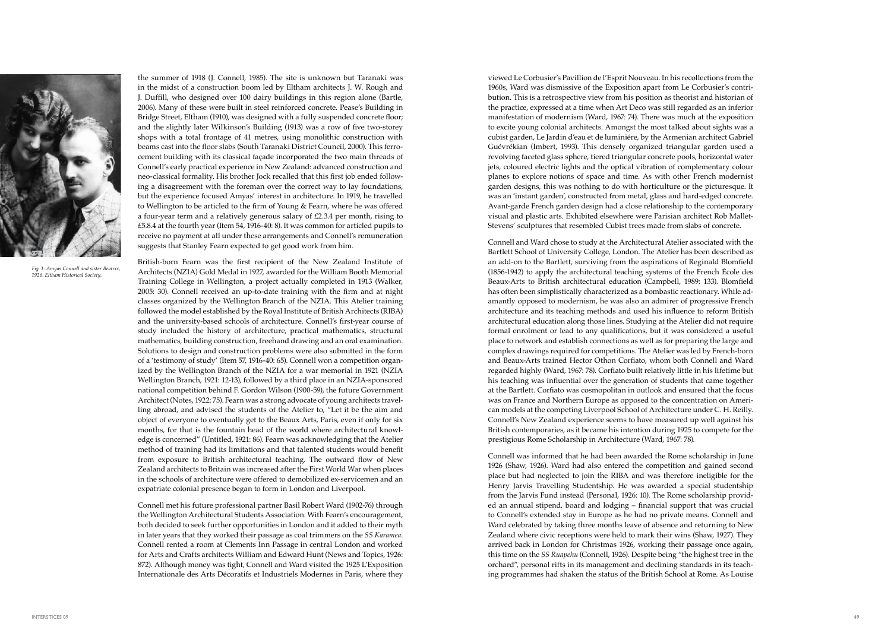viewed Le Corbusier's Pavillion de l'Esprit Nouveau. In his recollections from the 1960s, Ward was dismissive of the Exposition apart from Le Corbusier's contri bution. This is a retrospective view from his position as theorist and historian of the practice, expressed at a time when Art Deco was still regarded as an inferior manifestation of modernism (Ward, 1967: 74). There was much at the exposition to excite young colonial architects. Amongst the most talked about sights was a cubist garden, Le Jardin d'eau et de luminiére, by the Armenian architect Gabriel Guévrékian (Imbert, 1993). This densely organized triangular garden used a revolving faceted glass sphere, tiered triangular concrete pools, horizontal water jets, coloured electric lights and the optical vibration of complementary colour planes to explore notions of space and time. As with other French modernist garden designs, this was nothing to do with horticulture or the picturesque. It was an 'instant garden', constructed from metal, glass and hard-edged concrete. Avant-garde French garden design had a close relationship to the contemporary visual and plastic arts. Exhibited elsewhere were Parisian architect Rob Mallet-Stevens' sculptures that resembled Cubist trees made from slabs of concrete.

Connell and Ward chose to study at the Architectural Atelier associated with the Bartlett School of University College, London. The Atelier has been described as an add-on to the Bartlett, surviving from the aspirations of Reginald Blomfield (1856-1942) to apply the architectural teaching systems of the French École des Beaux-Arts to British architectural education (Campbell, 1989: 133). Blomfield has often been simplistically characterized as a bombastic reactionary. While ad amantly opposed to modernism, he was also an admirer of progressive French architecture and its teaching methods and used his influence to reform British architectural education along those lines. Studying at the Atelier did not require formal enrolment or lead to any qualifications, but it was considered a useful place to network and establish connections as well as for preparing the large and complex drawings required for competitions. The Atelier was led by French-born and Beaux-Arts trained Hector Othon Corfiato, whom both Connell and Ward regarded highly (Ward, 1967: 78). Corfiato built relatively little in his lifetime but his teaching was influential over the generation of students that came together at the Bartlett. Corfiato was cosmopolitan in outlook and ensured that the focus was on France and Northern Europe as opposed to the concentration on Ameri can models at the competing Liverpool School of Architecture under C. H. Reilly. Connell's New Zealand experience seems to have measured up well against his British contemporaries, as it became his intention during 1925 to compete for the prestigious Rome Scholarship in Architecture (Ward, 1967: 78).

Connell was informed that he had been awarded the Rome scholarship in June 1926 (Shaw, 1926). Ward had also entered the competition and gained second place but had neglected to join the RIBA and was therefore ineligible for the Henry Jarvis Travelling Studentship. He was awarded a special studentship from the Jarvis Fund instead (Personal, 1926: 10). The Rome scholarship provid ed an annual stipend, board and lodging – financial support that was crucial to Connell's extended stay in Europe as he had no private means. Connell and Ward celebrated by taking three months leave of absence and returning to New Zealand where civic receptions were held to mark their wins (Shaw, 1927). They arrived back in London for Christmas 1926, working their passage once again, this time on the *SS Ruapehu* (Connell, 1926) *.* Despite being "the highest tree in the orchard", personal rifts in its management and declining standards in its teach ing programmes had shaken the status of the British School at Rome. As Louise

the summer of 1918 (J. Connell, 1985). The site is unknown but Taranaki was in the midst of a construction boom led by Eltham architects J. W. Rough and J. Duffill, who designed over 100 dairy buildings in this region alone (Bartle, 2006). Many of these were built in steel reinforced concrete. Pease's Building in Bridge Street, Eltham (1910), was designed with a fully suspended concrete floor; and the slightly later Wilkinson's Building (1913) was a row of five two-storey shops with a total frontage of 41 metres, using monolithic construction with beams cast into the floor slabs (South Taranaki District Council, 2000). This ferrocement building with its classical façade incorporated the two main threads of Connell's early practical experience in New Zealand: advanced construction and neo-classical formality. His brother Jock recalled that this first job ended follow ing a disagreement with the foreman over the correct way to lay foundations, but the experience focused Amyas' interest in architecture. In 1919, he travelled to Wellington to be articled to the firm of Young & Fearn, where he was offered a four-year term and a relatively generous salary of £2.3.4 per month, rising to £5.8.4 at the fourth year (Item 54, 1916-40: 8). It was common for articled pupils to receive no payment at all under these arrangements and Connell's remuneration suggests that Stanley Fearn expected to get good work from him.

British-born Fearn was the first recipient of the New Zealand Institute of Architects (NZIA) Gold Medal in 1927, awarded for the William Booth Memorial Training College in Wellington, a project actually completed in 1913 (Walker, 2005: 30). Connell received an up-to-date training with the firm and at night classes organized by the Wellington Branch of the NZIA. This Atelier training followed the model established by the Royal Institute of British Architects (RIBA) and the university-based schools of architecture. Connell's first-year course of study included the history of architecture, practical mathematics, structural mathematics, building construction, freehand drawing and an oral examination. Solutions to design and construction problems were also submitted in the form of a 'testimony of study' (Item 57, 1916-40: 65). Connell won a competition organ ized by the Wellington Branch of the NZIA for a war memorial in 1921 (NZIA Wellington Branch, 1921: 12-13), followed by a third place in an NZIA-sponsored national competition behind F. Gordon Wilson (1900-59), the future Government Architect (Notes, 1922: 75). Fearn was a strong advocate of young architects travelling abroad, and advised the students of the Atelier to, "Let it be the aim and object of everyone to eventually get to the Beaux Arts, Paris, even if only for six months, for that is the fountain head of the world where architectural knowl edge is concerned" (Untitled, 1921: 86). Fearn was acknowledging that the Atelier method of training had its limitations and that talented students would benefit from exposure to British architectural teaching. The outward flow of New Zealand architects to Britain was increased after the First World War when places in the schools of architecture were offered to demobilized ex-servicemen and an expatriate colonial presence began to form in London and Liverpool.

Connell met his future professional partner Basil Robert Ward (1902-76) through the Wellington Architectural Students Association. With Fearn's encouragement, both decided to seek further opportunities in London and it added to their myth in later years that they worked their passage as coal trimmers on the *SS Karamea*. Connell rented a room at Clements Inn Passage in central London and worked for Arts and Crafts architects William and Edward Hunt (News and Topics, 1926: 872). Although money was tight, Connell and Ward visited the 1925 L'Exposition Internationale des Arts Décoratifs et Industriels Modernes in Paris, where they



*Fig. 1: Amyas Connell and sister Beatrix, 1926. Eltham Historical Society.*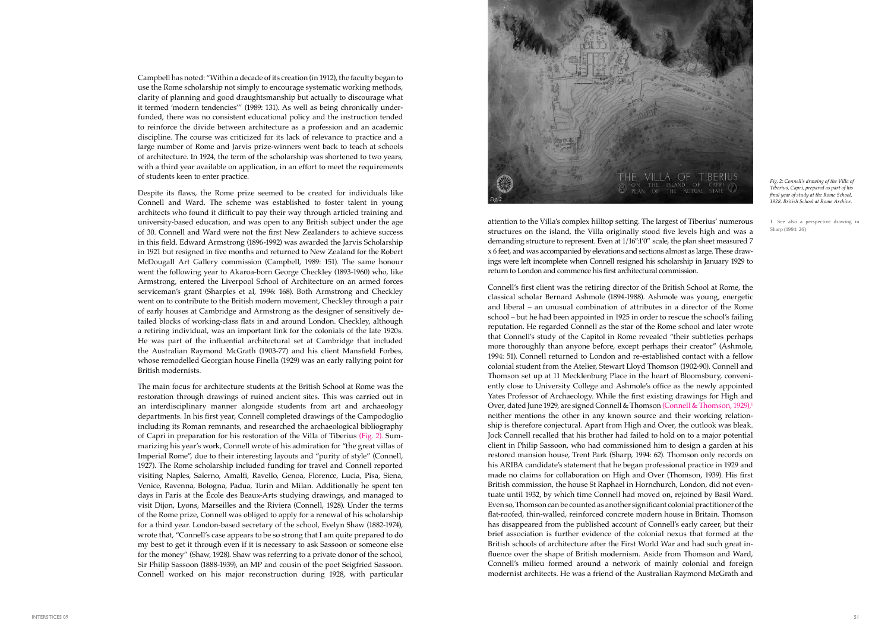attention to the Villa's complex hilltop setting. The largest of Tiberius' numerous structures on the island, the Villa originally stood five levels high and was a demanding structure to represent. Even at 1/16":1'0" scale, the plan sheet measured 7 x 6 feet, and was accompanied by elevations and sections almost as large. These drawings were left incomplete when Connell resigned his scholarship in January 1929 to return to London and commence his first architectural commission.

Connell's first client was the retiring director of the British School at Rome, the classical scholar Bernard Ashmole (1894-1988). Ashmole was young, energetic and liberal – an unusual combination of attributes in a director of the Rome school – but he had been appointed in 1925 in order to rescue the school's failing reputation. He regarded Connell as the star of the Rome school and later wrote that Connell's study of the Capitol in Rome revealed "their subtleties perhaps more thoroughly than anyone before, except perhaps their creator" (Ashmole, 1994: 51). Connell returned to London and re-established contact with a fellow colonial student from the Atelier, Stewart Lloyd Thomson (1902-90). Connell and Thomson set up at 11 Mecklenburg Place in the heart of Bloomsbury, conveniently close to University College and Ashmole's office as the newly appointed Yates Professor of Archaeology. While the first existing drawings for High and Over, dated June 1929, are signed Connell & Thomson (Connell & Thomson, 1929),<sup>1</sup> neither mentions the other in any known source and their working relation ship is therefore conjectural. Apart from High and Over, the outlook was bleak. Jock Connell recalled that his brother had failed to hold on to a major potential client in Philip Sassoon, who had commissioned him to design a garden at his restored mansion house, Trent Park (Sharp, 1994: 62) *.* Thomson only records on his ARIBA candidate's statement that he began professional practice in 1929 and made no claims for collaboration on High and Over (Thomson, 1939). His first British commission, the house St Raphael in Hornchurch, London, did not even tuate until 1932, by which time Connell had moved on, rejoined by Basil Ward. Even so, Thomson can be counted as another significant colonial practitioner of the flat-roofed, thin-walled, reinforced concrete modern house in Britain. Thomson has disappeared from the published account of Connell's early career, but their brief association is further evidence of the colonial nexus that formed at the British schools of architecture after the First World War and had such great in fluence over the shape of British modernism. Aside from Thomson and Ward, Connell's milieu formed around a network of mainly colonial and foreign modernist architects. He was a friend of the Australian Raymond McGrath and 1. See also a perspective drawing in Sharp (1994: 26)

Campbell has noted: "Within a decade of its creation (in 1912), the faculty began to use the Rome scholarship not simply to encourage systematic working methods, clarity of planning and good draughtsmanship but actually to discourage what it termed 'modern tendencies'" (1989: 131). As well as being chronically under funded, there was no consistent educational policy and the instruction tended to reinforce the divide between architecture as a profession and an academic discipline. The course was criticized for its lack of relevance to practice and a large number of Rome and Jarvis prize-winners went back to teach at schools of architecture. In 1924, the term of the scholarship was shortened to two years, with a third year available on application, in an effort to meet the requirements of students keen to enter practice.

Despite its flaws, the Rome prize seemed to be created for individuals like Connell and Ward. The scheme was established to foster talent in young architects who found it difficult to pay their way through articled training and university-based education, and was open to any British subject under the age of 30. Connell and Ward were not the first New Zealanders to achieve success in this field. Edward Armstrong (1896-1992) was awarded the Jarvis Scholarship in 1921 but resigned in five months and returned to New Zealand for the Robert McDougall Art Gallery commission (Campbell, 1989: 151). The same honour went the following year to Akaroa-born George Checkley (1893-1960) who, like Armstrong, entered the Liverpool School of Architecture on an armed forces serviceman's grant (Sharples et al, 1996: 168). Both Armstrong and Checkley went on to contribute to the British modern movement, Checkley through a pair of early houses at Cambridge and Armstrong as the designer of sensitively de tailed blocks of working-class flats in and around London. Checkley, although a retiring individual, was an important link for the colonials of the late 1920s. He was part of the influential architectural set at Cambridge that included the Australian Raymond McGrath (1903-77) and his client Mansfield Forbes, whose remodelled Georgian house Finella (1929) was an early rallying point for British modernists.

The main focus for architecture students at the British School at Rome was the restoration through drawings of ruined ancient sites. This was carried out in an interdisciplinary manner alongside students from art and archaeology departments. In his first year, Connell completed drawings of the Campodoglio including its Roman remnants, and researched the archaeological bibliography of Capri in preparation for his restoration of the Villa of Tiberius (Fig. 2). Sum marizing his year's work, Connell wrote of his admiration for "the great villas of Imperial Rome", due to their interesting layouts and "purity of style" (Connell, 1927). The Rome scholarship included funding for travel and Connell reported visiting Naples, Salerno, Amalfi, Ravello, Genoa, Florence, Lucia, Pisa, Siena, Venice, Ravenna, Bologna, Padua, Turin and Milan. Additionally he spent ten days in Paris at the École des Beaux-Arts studying drawings, and managed to visit Dijon, Lyons, Marseilles and the Riviera (Connell, 1928). Under the terms of the Rome prize, Connell was obliged to apply for a renewal of his scholarship for a third year. London-based secretary of the school, Evelyn Shaw (1882-1974), wrote that, "Connell's case appears to be so strong that I am quite prepared to do my best to get it through even if it is necessary to ask Sassoon or someone else for the money" (Shaw, 1928). Shaw was referring to a private donor of the school, Sir Philip Sassoon (1888-1939), an MP and cousin of the poet Seigfried Sassoon. Connell worked on his major reconstruction during 1928, with particular



*Fig. 2: Connell's drawing of the Villa of Tiberius, Capri, prepared as part of his final year of study at the Rome School, 1928. British School at Rome Archive.*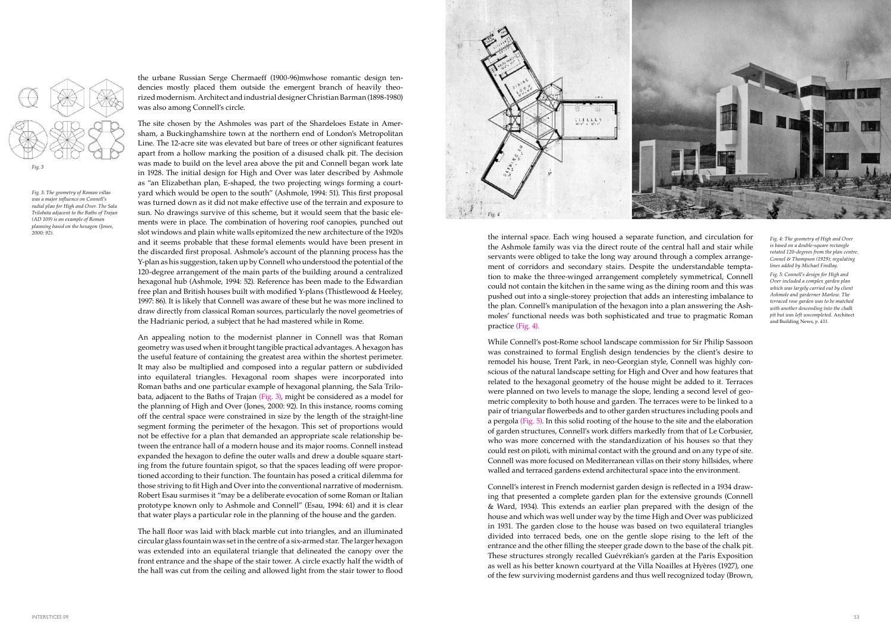the internal space. Each wing housed a separate function, and circulation for the Ashmole family was via the direct route of the central hall and stair while servants were obliged to take the long way around through a complex arrangement of corridors and secondary stairs. Despite the understandable temptation to make the three-winged arrangement completely symmetrical, Connell could not contain the kitchen in the same wing as the dining room and this was pushed out into a single-storey projection that adds an interesting imbalance to the plan. Connell's manipulation of the hexagon into a plan answering the Ashmoles' functional needs was both sophisticated and true to pragmatic Roman practice (Fig. 4).

While Connell's post-Rome school landscape commission for Sir Philip Sassoon was constrained to formal English design tendencies by the client's desire to remodel his house, Trent Park, in neo-Georgian style, Connell was highly conscious of the natural landscape setting for High and Over and how features that related to the hexagonal geometry of the house might be added to it. Terraces were planned on two levels to manage the slope, lending a second level of geometric complexity to both house and garden. The terraces were to be linked to a pair of triangular flowerbeds and to other garden structures including pools and a pergola (Fig. 5). In this solid rooting of the house to the site and the elaboration of garden structures, Connell's work differs markedly from that of Le Corbusier, who was more concerned with the standardization of his houses so that they could rest on piloti, with minimal contact with the ground and on any type of site. Connell was more focused on Mediterranean villas on their stony hillsides, where walled and terraced gardens extend architectural space into the environment.

Connell's interest in French modernist garden design is reflected in a 1934 drawing that presented a complete garden plan for the extensive grounds (Connell & Ward, 1934). This extends an earlier plan prepared with the design of the house and which was well under way by the time High and Over was publicized in 1931. The garden close to the house was based on two equilateral triangles divided into terraced beds, one on the gentle slope rising to the left of the entrance and the other filling the steeper grade down to the base of the chalk pit. These structures strongly recalled Guévrékian's garden at the Paris Exposition as well as his better known courtyard at the Villa Noailles at Hyères (1927), one of the few surviving modernist gardens and thus well recognized today (Brown,

the urbane Russian Serge Chermaeff (1900-96)mwhose romantic design tendencies mostly placed them outside the emergent branch of heavily theorized modernism. Architect and industrial designer Christian Barman (1898-1980) was also among Connell's circle.

The site chosen by the Ashmoles was part of the Shardeloes Estate in Amersham, a Buckinghamshire town at the northern end of London's Metropolitan Line. The 12-acre site was elevated but bare of trees or other significant features apart from a hollow marking the position of a disused chalk pit. The decision was made to build on the level area above the pit and Connell began work late in 1928. The initial design for High and Over was later described by Ashmole as "an Elizabethan plan, E-shaped, the two projecting wings forming a courtyard which would be open to the south" (Ashmole, 1994: 51). This first proposal was turned down as it did not make effective use of the terrain and exposure to sun. No drawings survive of this scheme, but it would seem that the basic elements were in place. The combination of hovering roof canopies, punched out slot windows and plain white walls epitomized the new architecture of the 1920s and it seems probable that these formal elements would have been present in the discarded first proposal. Ashmole's account of the planning process has the Y-plan as his suggestion, taken up by Connell who understood the potential of the 120-degree arrangement of the main parts of the building around a centralized hexagonal hub (Ashmole, 1994: 52). Reference has been made to the Edwardian free plan and British houses built with modified Y-plans (Thistlewood & Heeley, 1997: 86). It is likely that Connell was aware of these but he was more inclined to draw directly from classical Roman sources, particularly the novel geometries of the Hadrianic period, a subject that he had mastered while in Rome.

An appealing notion to the modernist planner in Connell was that Roman geometry was used when it brought tangible practical advantages. A hexagon has the useful feature of containing the greatest area within the shortest perimeter. It may also be multiplied and composed into a regular pattern or subdivided into equilateral triangles. Hexagonal room shapes were incorporated into Roman baths and one particular example of hexagonal planning, the Sala Trilobata, adjacent to the Baths of Trajan (Fig. 3), might be considered as a model for the planning of High and Over (Jones, 2000: 92). In this instance, rooms coming off the central space were constrained in size by the length of the straight-line segment forming the perimeter of the hexagon. This set of proportions would not be effective for a plan that demanded an appropriate scale relationship between the entrance hall of a modern house and its major rooms. Connell instead expanded the hexagon to define the outer walls and drew a double square starting from the future fountain spigot, so that the spaces leading off were proportioned according to their function. The fountain has posed a critical dilemma for those striving to fit High and Over into the conventional narrative of modernism. Robert Esau surmises it "may be a deliberate evocation of some Roman or Italian prototype known only to Ashmole and Connell" (Esau, 1994: 61) and it is clear that water plays a particular role in the planning of the house and the garden.

The hall floor was laid with black marble cut into triangles, and an illuminated circular glass fountain was set in the centre of a six-armed star. The larger hexagon was extended into an equilateral triangle that delineated the canopy over the front entrance and the shape of the stair tower. A circle exactly half the width of the hall was cut from the ceiling and allowed light from the stair tower to flood



*Fig. 3: The geometry of Roman villas was a major influence on Connell's radial plan for High and Over. The Sala Trilobata adjacent to the Baths of Trajan (AD 109) is an example of Roman planning based on the hexagon (Jones, 2000: 92).*



*Fig. 4: The geometry of High and Over is based on a double-square rectangle rotated 120-degrees from the plan centre. Connel & Thompson (1929); regulating lines added by Michael Findlay.*

*Fig. 5: Connell's design for High and Over included a complex garden plan which was largely carried out by client Ashmole and garderner Marlow. The terraced rose garden was to be matched with another descending into the chalk pit but was left uncompleted.* Architect and Building News, *p. 431.*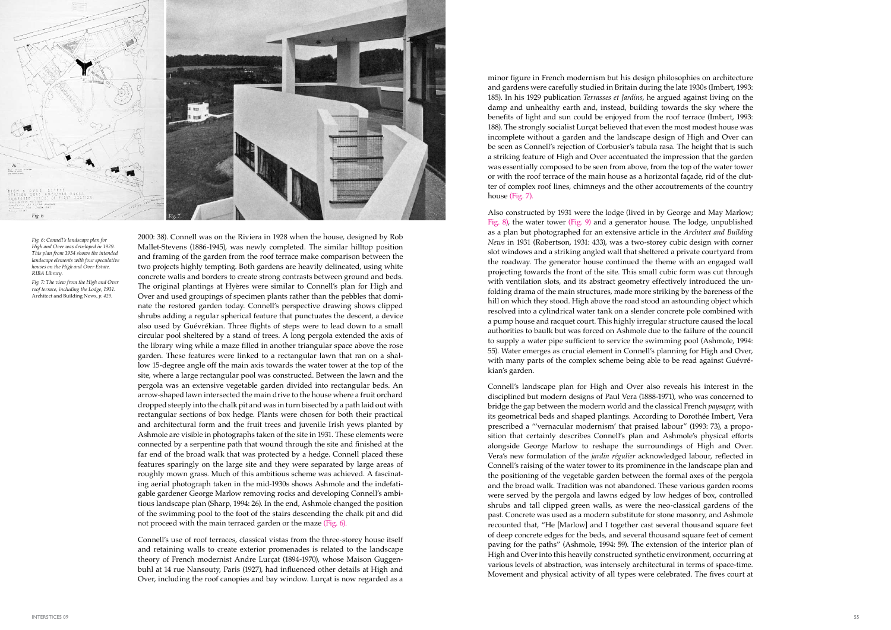minor figure in French modernism but his design philosophies on architecture and gardens were carefully studied in Britain during the late 1930s (Imbert, 1993: 185). In his 1929 publication *Terrasses et Jardins*, he argued against living on the damp and unhealthy earth and, instead, building towards the sky where the benefits of light and sun could be enjoyed from the roof terrace (Imbert, 1993: 188). The strongly socialist Lurçat believed that even the most modest house was incomplete without a garden and the landscape design of High and Over can be seen as Connell's rejection of Corbusier's tabula rasa. The height that is such a striking feature of High and Over accentuated the impression that the garden was essentially composed to be seen from above, from the top of the water tower or with the roof terrace of the main house as a horizontal façade, rid of the clutter of complex roof lines, chimneys and the other accoutrements of the country house (Fig. 7).

Also constructed by 1931 were the lodge (lived in by George and May Marlow; Fig. 8), the water tower (Fig. 9) and a generator house. The lodge, unpublished as a plan but photographed for an extensive article in the *Architect and Building News* in 1931 (Robertson, 1931: 433), was a two-storey cubic design with corner slot windows and a striking angled wall that sheltered a private courtyard from the roadway. The generator house continued the theme with an engaged wall projecting towards the front of the site. This small cubic form was cut through with ventilation slots, and its abstract geometry effectively introduced the un folding drama of the main structures, made more striking by the bareness of the hill on which they stood. High above the road stood an astounding object which resolved into a cylindrical water tank on a slender concrete pole combined with a pump house and racquet court. This highly irregular structure caused the local authorities to baulk but was forced on Ashmole due to the failure of the council to supply a water pipe sufficient to service the swimming pool (Ashmole, 1994: 55). Water emerges as crucial element in Connell's planning for High and Over, with many parts of the complex scheme being able to be read against Guévré kian's garden.

Connell's landscape plan for High and Over also reveals his interest in the disciplined but modern designs of Paul Vera (1888-1971), who was concerned to bridge the gap between the modern world and the classical French *paysager*, with its geometrical beds and shaped plantings. According to Dorothée Imbert, Vera prescribed a "'vernacular modernism' that praised labour" (1993: 73), a propo sition that certainly describes Connell's plan and Ashmole's physical efforts alongside George Marlow to reshape the surroundings of High and Over. Vera's new formulation of the *jardin régulier* acknowledged labour, reflected in Connell's raising of the water tower to its prominence in the landscape plan and the positioning of the vegetable garden between the formal axes of the pergola and the broad walk. Tradition was not abandoned. These various garden rooms were served by the pergola and lawns edged by low hedges of box, controlled shrubs and tall clipped green walls, as were the neo-classical gardens of the past. Concrete was used as a modern substitute for stone masonry, and Ashmole recounted that, "He [Marlow] and I together cast several thousand square feet of deep concrete edges for the beds, and several thousand square feet of cement paving for the paths" (Ashmole, 1994: 59). The extension of the interior plan of High and Over into this heavily constructed synthetic environment, occurring at various levels of abstraction, was intensely architectural in terms of space-time. Movement and physical activity of all types were celebrated. The fives court at

2000: 38). Connell was on the Riviera in 1928 when the house, designed by Rob Mallet-Stevens (1886-1945), was newly completed. The similar hilltop position and framing of the garden from the roof terrace make comparison between the two projects highly tempting. Both gardens are heavily delineated, using white concrete walls and borders to create strong contrasts between ground and beds. The original plantings at Hyères were similar to Connell's plan for High and Over and used groupings of specimen plants rather than the pebbles that domi nate the restored garden today. Connell's perspective drawing shows clipped shrubs adding a regular spherical feature that punctuates the descent, a device also used by Guévrékian. Three flights of steps were to lead down to a small circular pool sheltered by a stand of trees. A long pergola extended the axis of the library wing while a maze filled in another triangular space above the rose garden. These features were linked to a rectangular lawn that ran on a shal low 15-degree angle off the main axis towards the water tower at the top of the site, where a large rectangular pool was constructed. Between the lawn and the pergola was an extensive vegetable garden divided into rectangular beds. An arrow-shaped lawn intersected the main drive to the house where a fruit orchard dropped steeply into the chalk pit and was in turn bisected by a path laid out with rectangular sections of box hedge. Plants were chosen for both their practical and architectural form and the fruit trees and juvenile Irish yews planted by Ashmole are visible in photographs taken of the site in 1931. These elements were connected by a serpentine path that wound through the site and finished at the far end of the broad walk that was protected by a hedge. Connell placed these features sparingly on the large site and they were separated by large areas of roughly mown grass. Much of this ambitious scheme was achieved. A fascinating aerial photograph taken in the mid-1930s shows Ashmole and the indefatigable gardener George Marlow removing rocks and developing Connell's ambitious landscape plan (Sharp, 1994: 26). In the end, Ashmole changed the position of the swimming pool to the foot of the stairs descending the chalk pit and did not proceed with the main terraced garden or the maze (Fig. 6).

Connell's use of roof terraces, classical vistas from the three-storey house itself and retaining walls to create exterior promenades is related to the landscape theory of French modernist Andre Lurçat (1894-1970), whose Maison Guggen buhl at 14 rue Nansouty, Paris (1927), had influenced other details at High and Over, including the roof canopies and bay window. Lurçat is now regarded as a



*Fig. 6: Connell's landscape plan for High and Over was developed in 1929. This plan from 1934 shows the intended landscape elements with four speculative houses on the High and Over Estate. RIBA Library.*

*Fig. 7: The view from the High and Over roof terrace, including the Lodge, 1931.*  Architect and Building News, *p. 429.*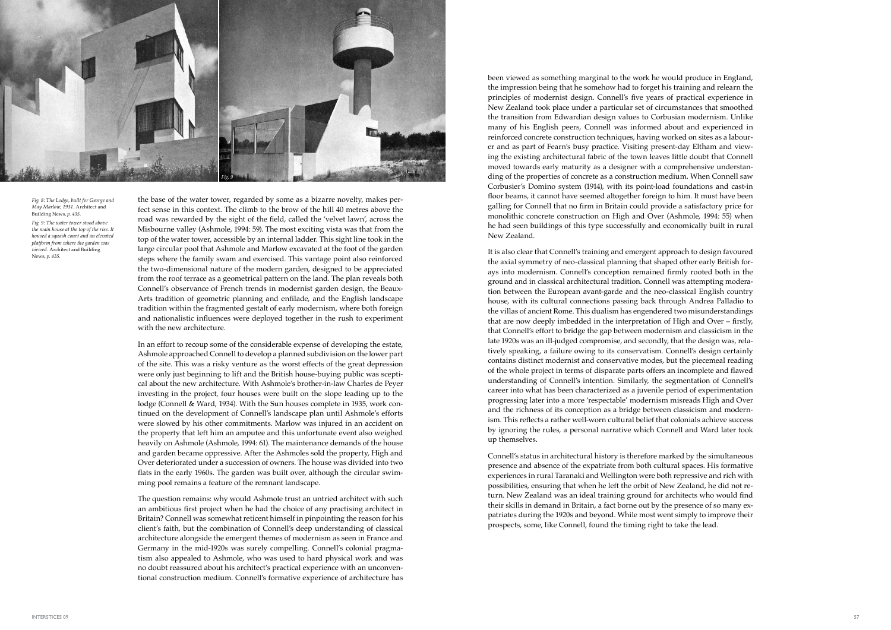been viewed as something marginal to the work he would produce in England, the impression being that he somehow had to forget his training and relearn the principles of modernist design. Connell's five years of practical experience in New Zealand took place under a particular set of circumstances that smoothed the transition from Edwardian design values to Corbusian modernism. Unlike many of his English peers, Connell was informed about and experienced in reinforced concrete construction techniques, having worked on sites as a labour er and as part of Fearn's busy practice. Visiting present-day Eltham and view ing the existing architectural fabric of the town leaves little doubt that Connell moved towards early maturity as a designer with a comprehensive understanding of the properties of concrete as a construction medium. When Connell saw Corbusier's Domino system (1914), with its point-load foundations and cast-in floor beams, it cannot have seemed altogether foreign to him. It must have been galling for Connell that no firm in Britain could provide a satisfactory price for monolithic concrete construction on High and Over (Ashmole, 1994: 55) when he had seen buildings of this type successfully and economically built in rural New Zealand.

It is also clear that Connell's training and emergent approach to design favoured the axial symmetry of neo-classical planning that shaped other early British for ays into modernism. Connell's conception remained firmly rooted both in the ground and in classical architectural tradition. Connell was attempting modera tion between the European avant-garde and the neo-classical English country house, with its cultural connections passing back through Andrea Palladio to the villas of ancient Rome. This dualism has engendered two misunderstandings that are now deeply imbedded in the interpretation of High and Over – firstly, that Connell's effort to bridge the gap between modernism and classicism in the late 1920s was an ill-judged compromise, and secondly, that the design was, rela tively speaking, a failure owing to its conservatism. Connell's design certainly contains distinct modernist and conservative modes, but the piecemeal reading of the whole project in terms of disparate parts offers an incomplete and flawed understanding of Connell's intention. Similarly, the segmentation of Connell's career into what has been characterized as a juvenile period of experimentation progressing later into a more 'respectable' modernism misreads High and Over and the richness of its conception as a bridge between classicism and modern ism. This reflects a rather well-worn cultural belief that colonials achieve success by ignoring the rules, a personal narrative which Connell and Ward later took up themselves.

Connell's status in architectural history is therefore marked by the simultaneous presence and absence of the expatriate from both cultural spaces. His formative experiences in rural Taranaki and Wellington were both repressive and rich with possibilities, ensuring that when he left the orbit of New Zealand, he did not re turn. New Zealand was an ideal training ground for architects who would find their skills in demand in Britain, a fact borne out by the presence of so many ex patriates during the 1920s and beyond. While most went simply to improve their prospects, some, like Connell, found the timing right to take the lead.

the base of the water tower, regarded by some as a bizarre novelty, makes per fect sense in this context. The climb to the brow of the hill 40 metres above the road was rewarded by the sight of the field, called the 'velvet lawn', across the Misbourne valley (Ashmole, 1994: 59). The most exciting vista was that from the top of the water tower, accessible by an internal ladder. This sight line took in the large circular pool that Ashmole and Marlow excavated at the foot of the garden steps where the family swam and exercised. This vantage point also reinforced the two-dimensional nature of the modern garden, designed to be appreciated from the roof terrace as a geometrical pattern on the land. The plan reveals both Connell's observance of French trends in modernist garden design, the Beaux-Arts tradition of geometric planning and enfilade, and the English landscape tradition within the fragmented gestalt of early modernism, where both foreign and nationalistic influences were deployed together in the rush to experiment with the new architecture.

In an effort to recoup some of the considerable expense of developing the estate, Ashmole approached Connell to develop a planned subdivision on the lower part of the site. This was a risky venture as the worst effects of the great depression were only just beginning to lift and the British house-buying public was scepti cal about the new architecture. With Ashmole's brother-in-law Charles de Peyer investing in the project, four houses were built on the slope leading up to the lodge (Connell & Ward, 1934). With the Sun houses complete in 1935, work con tinued on the development of Connell's landscape plan until Ashmole's efforts were slowed by his other commitments. Marlow was injured in an accident on the property that left him an amputee and this unfortunate event also weighed heavily on Ashmole (Ashmole, 1994: 61). The maintenance demands of the house and garden became oppressive. After the Ashmoles sold the property, High and Over deteriorated under a succession of owners. The house was divided into two flats in the early 1960s. The garden was built over, although the circular swim ming pool remains a feature of the remnant landscape.

The question remains: why would Ashmole trust an untried architect with such an ambitious first project when he had the choice of any practising architect in Britain? Connell was somewhat reticent himself in pinpointing the reason for his client's faith, but the combination of Connell's deep understanding of classical architecture alongside the emergent themes of modernism as seen in France and Germany in the mid-1920s was surely compelling. Connell's colonial pragma tism also appealed to Ashmole, who was used to hard physical work and was no doubt reassured about his architect's practical experience with an unconven tional construction medium. Connell's formative experience of architecture has

*Fig. 8: The Lodge, built for George and May Marlow, 1931.* Architect and Building News, *p. 435. Fig. 9: The water tower stood above the main house at the top of the rise. It housed a squash court and an elevated platform from where the garden was viewed.* Architect and Building News, *p. 435.*